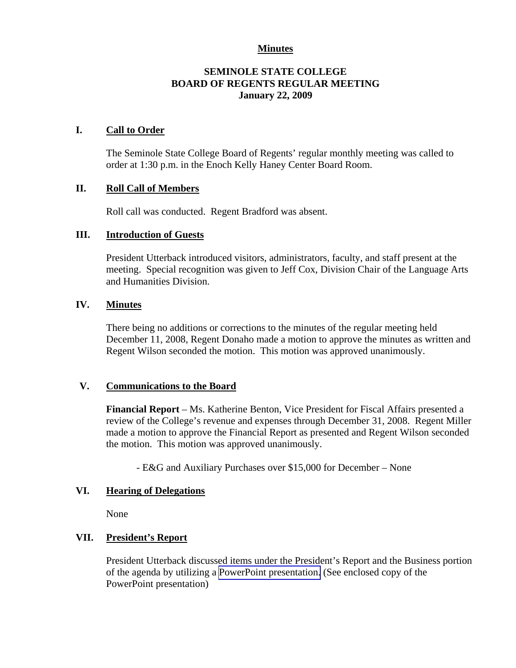## **Minutes**

## **SEMINOLE STATE COLLEGE BOARD OF REGENTS REGULAR MEETING January 22, 2009**

## **I. Call to Order**

The Seminole State College Board of Regents' regular monthly meeting was called to order at 1:30 p.m. in the Enoch Kelly Haney Center Board Room.

#### **II. Roll Call of Members**

Roll call was conducted. Regent Bradford was absent.

#### **III. Introduction of Guests**

President Utterback introduced visitors, administrators, faculty, and staff present at the meeting. Special recognition was given to Jeff Cox, Division Chair of the Language Arts and Humanities Division.

#### **IV. Minutes**

There being no additions or corrections to the minutes of the regular meeting held December 11, 2008, Regent Donaho made a motion to approve the minutes as written and Regent Wilson seconded the motion. This motion was approved unanimously.

#### **V. Communications to the Board**

**Financial Report** – Ms. Katherine Benton, Vice President for Fiscal Affairs presented a review of the College's revenue and expenses through December 31, 2008. Regent Miller made a motion to approve the Financial Report as presented and Regent Wilson seconded the motion. This motion was approved unanimously.

- E&G and Auxiliary Purchases over \$15,000 for December – None

#### **VI. Hearing of Delegations**

None

## **VII. President's Report**

President Utterback discussed items under the President's Report and the Business portion of the agenda by utilizing a PowerPoint presentation. (See enclosed copy of the PowerPoint presentation)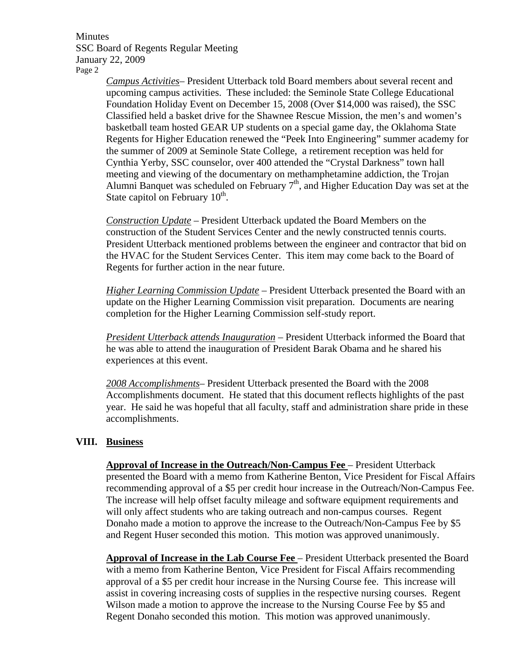Minutes SSC Board of Regents Regular Meeting January 22, 2009 Page 2

> *Campus Activities*– President Utterback told Board members about several recent and upcoming campus activities. These included: the Seminole State College Educational Foundation Holiday Event on December 15, 2008 (Over \$14,000 was raised), the SSC Classified held a basket drive for the Shawnee Rescue Mission, the men's and women's basketball team hosted GEAR UP students on a special game day, the Oklahoma State Regents for Higher Education renewed the "Peek Into Engineering" summer academy for the summer of 2009 at Seminole State College, a retirement reception was held for Cynthia Yerby, SSC counselor, over 400 attended the "Crystal Darkness" town hall meeting and viewing of the documentary on methamphetamine addiction, the Trojan Alumni Banquet was scheduled on February  $7<sup>th</sup>$ , and Higher Education Day was set at the State capitol on February  $10<sup>th</sup>$ .

> *Construction Update –* President Utterback updated the Board Members on the construction of the Student Services Center and the newly constructed tennis courts. President Utterback mentioned problems between the engineer and contractor that bid on the HVAC for the Student Services Center. This item may come back to the Board of Regents for further action in the near future.

> *Higher Learning Commission Update* – President Utterback presented the Board with an update on the Higher Learning Commission visit preparation. Documents are nearing completion for the Higher Learning Commission self-study report.

> *President Utterback attends Inauguration* – President Utterback informed the Board that he was able to attend the inauguration of President Barak Obama and he shared his experiences at this event.

> *2008 Accomplishments*– President Utterback presented the Board with the 2008 Accomplishments document. He stated that this document reflects highlights of the past year. He said he was hopeful that all faculty, staff and administration share pride in these accomplishments.

#### **VIII. Business**

**Approval of Increase in the Outreach/Non-Campus Fee** – President Utterback presented the Board with a memo from Katherine Benton, Vice President for Fiscal Affairs recommending approval of a \$5 per credit hour increase in the Outreach/Non-Campus Fee. The increase will help offset faculty mileage and software equipment requirements and will only affect students who are taking outreach and non-campus courses. Regent Donaho made a motion to approve the increase to the Outreach/Non-Campus Fee by \$5 and Regent Huser seconded this motion. This motion was approved unanimously.

**Approval of Increase in the Lab Course Fee** – President Utterback presented the Board with a memo from Katherine Benton, Vice President for Fiscal Affairs recommending approval of a \$5 per credit hour increase in the Nursing Course fee. This increase will assist in covering increasing costs of supplies in the respective nursing courses. Regent Wilson made a motion to approve the increase to the Nursing Course Fee by \$5 and Regent Donaho seconded this motion. This motion was approved unanimously.